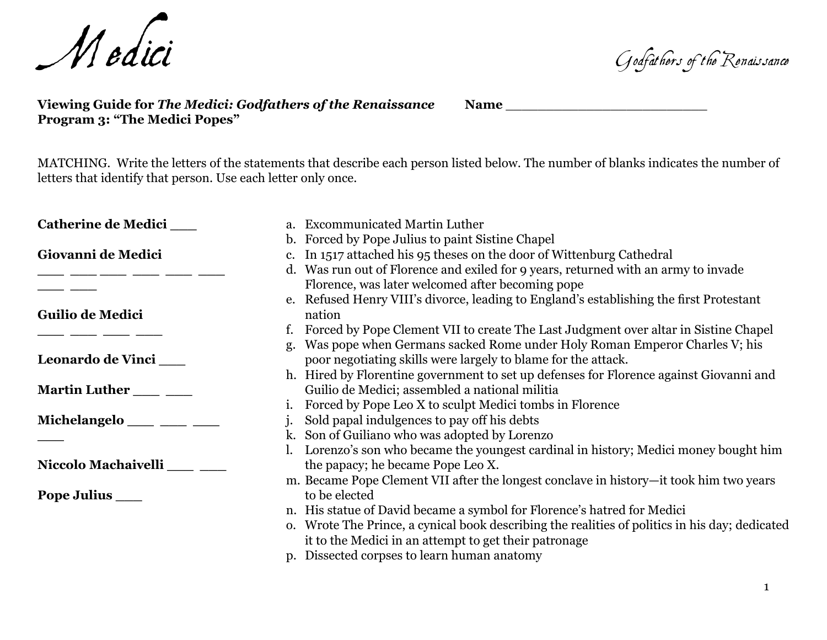

**Viewing Guide for** *The Medici: Godfathers of the Renaissance* **Name** \_\_\_\_\_\_\_\_\_\_\_\_\_\_\_\_\_\_\_\_\_\_\_\_\_ **Program 3: "The Medici Popes"**

MATCHING. Write the letters of the statements that describe each person listed below. The number of blanks indicates the number of letters that identify that person. Use each letter only once.

| <b>Catherine de Medici</b> | a. Excommunicated Martin Luther                                                                                                                                                                                                                                     |
|----------------------------|---------------------------------------------------------------------------------------------------------------------------------------------------------------------------------------------------------------------------------------------------------------------|
| Giovanni de Medici         | b. Forced by Pope Julius to paint Sistine Chapel<br>c. In 1517 attached his 95 theses on the door of Wittenburg Cathedral<br>d. Was run out of Florence and exiled for 9 years, returned with an army to invade<br>Florence, was later welcomed after becoming pope |
| Guilio de Medici           | e. Refused Henry VIII's divorce, leading to England's establishing the first Protestant<br>nation<br>Forced by Pope Clement VII to create The Last Judgment over altar in Sistine Chapel                                                                            |
| <b>Leonardo de Vinci</b>   | Was pope when Germans sacked Rome under Holy Roman Emperor Charles V; his<br>$\mathfrak{C}$ .<br>poor negotiating skills were largely to blame for the attack.<br>h. Hired by Florentine government to set up defenses for Florence against Giovanni and            |
| <b>Martin Luther</b>       | Guilio de Medici; assembled a national militia<br>Forced by Pope Leo X to sculpt Medici tombs in Florence                                                                                                                                                           |
| Michelangelo ____ ___ __   | Sold papal indulgences to pay off his debts<br>k. Son of Guiliano who was adopted by Lorenzo                                                                                                                                                                        |
| <b>Niccolo Machaivelli</b> | Lorenzo's son who became the youngest cardinal in history; Medici money bought him<br>the papacy; he became Pope Leo X.<br>m. Became Pope Clement VII after the longest conclave in history—it took him two years                                                   |
| Pope Julius ____           | to be elected<br>n. His statue of David became a symbol for Florence's hatred for Medici                                                                                                                                                                            |
|                            | o. Wrote The Prince, a cynical book describing the realities of politics in his day; dedicated<br>it to the Medici in an attempt to get their patronage<br>p. Dissected corpses to learn human anatomy                                                              |
|                            |                                                                                                                                                                                                                                                                     |